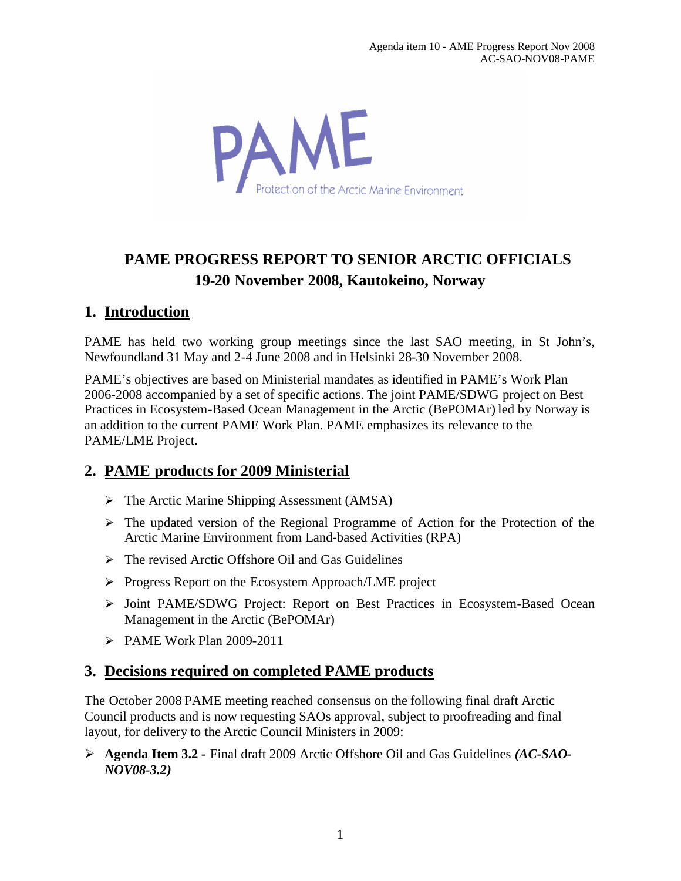

# **PAME PROGRESS REPORT TO SENIOR ARCTIC OFFICIALS 19-20 November 2008, Kautokeino, Norway**

### **1. Introduction**

PAME has held two working group meetings since the last SAO meeting, in St John's, Newfoundland 31 May and 2-4 June 2008 and in Helsinki 28-30 November 2008.

PAME's objectives are based on Ministerial mandates as identified in PAME's Work Plan 2006-2008 accompanied by a set of specific actions. The joint PAME/SDWG project on Best Practices in Ecosystem-Based Ocean Management in the Arctic (BePOMAr) led by Norway is an addition to the current PAME Work Plan. PAME emphasizes its relevance to the PAME/LME Project.

#### **2. PAME products for 2009 Ministerial**

- $\triangleright$  The Arctic Marine Shipping Assessment (AMSA)
- $\triangleright$  The updated version of the Regional Programme of Action for the Protection of the Arctic Marine Environment from Land-based Activities (RPA)
- $\triangleright$  The revised Arctic Offshore Oil and Gas Guidelines
- $\triangleright$  Progress Report on the Ecosystem Approach/LME project
- > Joint PAME/SDWG Project: Report on Best Practices in Ecosystem-Based Ocean Management in the Arctic (BePOMAr)
- $\triangleright$  PAME Work Plan 2009-2011

#### **3. Decisions required on completed PAME products**

The October 2008 PAME meeting reached consensus on the following final draft Arctic Council products and is now requesting SAOs approval, subject to proofreading and final layout, for delivery to the Arctic Council Ministers in 2009:

 **Agenda Item 3.2 -** Final draft 2009 Arctic Offshore Oil and Gas Guidelines *(AC-SAO-NOV08-3.2)*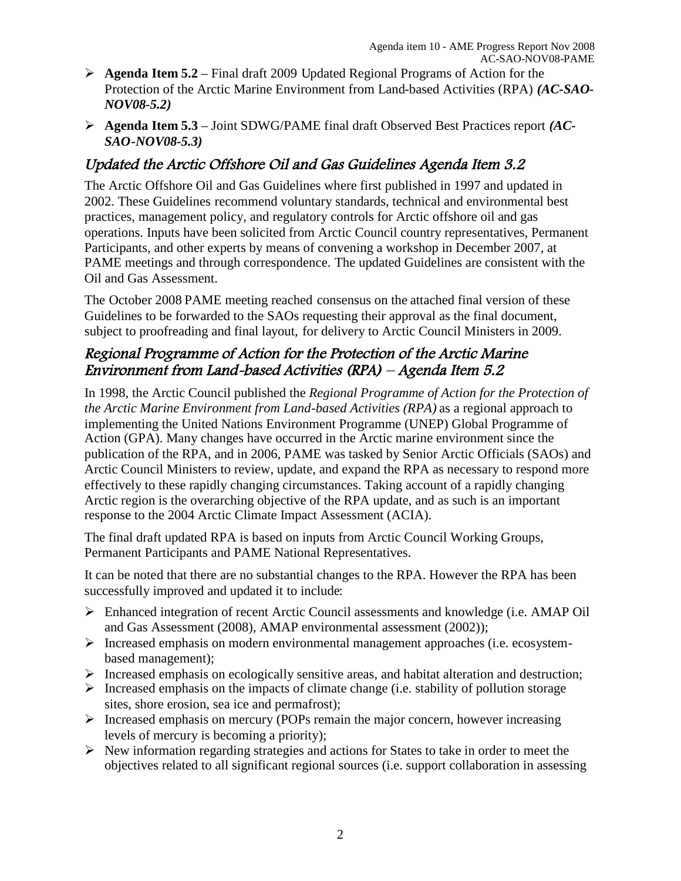- **Agenda Item 5.2** Final draft 2009 Updated Regional Programs of Action for the Protection of the Arctic Marine Environment from Land-based Activities (RPA) *(AC-SAO-NOV08-5.2)*
- **Agenda Item 5.3** Joint SDWG/PAME final draft Observed Best Practices report *(AC-SAO-NOV08-5.3)*

## Updated the Arctic Offshore Oil and Gas Guidelines Agenda Item 3.2

The Arctic Offshore Oil and Gas Guidelines where first published in 1997 and updated in 2002. These Guidelines recommend voluntary standards, technical and environmental best practices, management policy, and regulatory controls for Arctic offshore oil and gas operations. Inputs have been solicited from Arctic Council country representatives, Permanent Participants, and other experts by means of convening a workshop in December 2007, at PAME meetings and through correspondence. The updated Guidelines are consistent with the Oil and Gas Assessment.

The October 2008 PAME meeting reached consensus on the attached final version of these Guidelines to be forwarded to the SAOs requesting their approval as the final document, subject to proofreading and final layout, for delivery to Arctic Council Ministers in 2009.

### Regional Programme of Action for the Protection of the Arctic Marine Environment from Land-based Activities (RPA) – Agenda Item 5.2

In 1998, the Arctic Council published the *Regional Programme of Action for the Protection of the Arctic Marine Environment from Land-based Activities (RPA)* as a regional approach to implementing the United Nations Environment Programme (UNEP) Global Programme of Action (GPA). Many changes have occurred in the Arctic marine environment since the publication of the RPA, and in 2006, PAME was tasked by Senior Arctic Officials (SAOs) and Arctic Council Ministers to review, update, and expand the RPA as necessary to respond more effectively to these rapidly changing circumstances. Taking account of a rapidly changing Arctic region is the overarching objective of the RPA update, and as such is an important response to the 2004 Arctic Climate Impact Assessment (ACIA).

The final draft updated RPA is based on inputs from Arctic Council Working Groups, Permanent Participants and PAME National Representatives.

It can be noted that there are no substantial changes to the RPA. However the RPA has been successfully improved and updated it to include:

- Enhanced integration of recent Arctic Council assessments and knowledge (i.e. AMAP Oil and Gas Assessment (2008), AMAP environmental assessment (2002));
- $\triangleright$  Increased emphasis on modern environmental management approaches (i.e. ecosystembased management);
- $\triangleright$  Increased emphasis on ecologically sensitive areas, and habitat alteration and destruction;
- $\triangleright$  Increased emphasis on the impacts of climate change (i.e. stability of pollution storage sites, shore erosion, sea ice and permafrost);
- $\triangleright$  Increased emphasis on mercury (POPs remain the major concern, however increasing levels of mercury is becoming a priority);
- $\triangleright$  New information regarding strategies and actions for States to take in order to meet the objectives related to all significant regional sources (i.e. support collaboration in assessing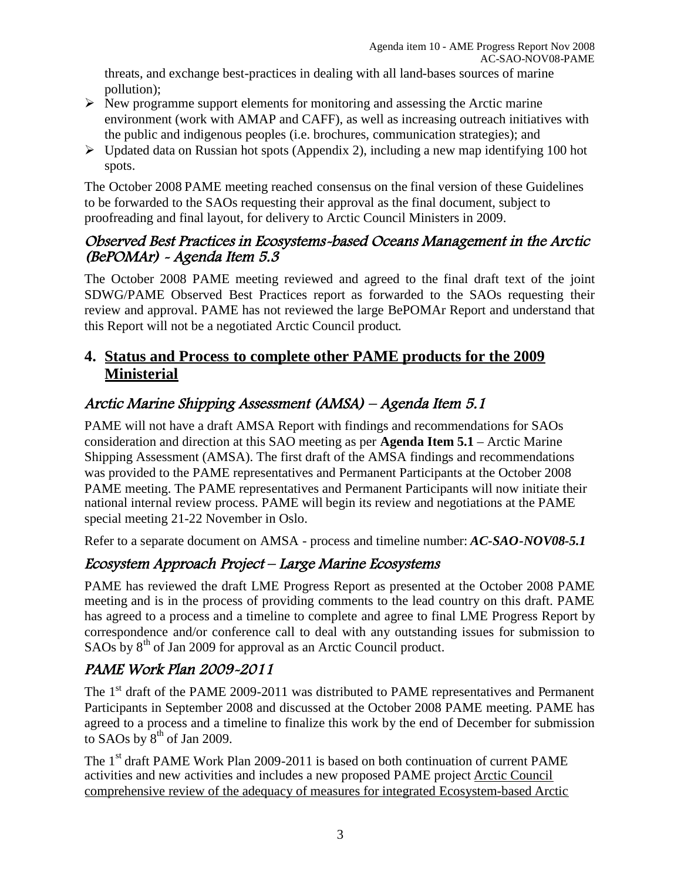threats, and exchange best-practices in dealing with all land-bases sources of marine pollution);

- $\triangleright$  New programme support elements for monitoring and assessing the Arctic marine environment (work with AMAP and CAFF), as well as increasing outreach initiatives with the public and indigenous peoples (i.e. brochures, communication strategies); and,
- $\triangleright$  Updated data on Russian hot spots (Appendix 2), including a new map identifying 100 hot spots.

The October 2008 PAME meeting reached consensus on the final version of these Guidelines to be forwarded to the SAOs requesting their approval as the final document, subject to proofreading and final layout, for delivery to Arctic Council Ministers in 2009.

#### Observed Best Practices in Ecosystems-based Oceans Management in the Arctic (BePOMAr) - Agenda Item 5.3

The October 2008 PAME meeting reviewed and agreed to the final draft text of the joint SDWG/PAME Observed Best Practices report as forwarded to the SAOs requesting their review and approval. PAME has not reviewed the large BePOMAr Report and understand that this Report will not be a negotiated Arctic Council product.

### **4. Status and Process to complete other PAME products for the 2009 Ministerial**

## Arctic Marine Shipping Assessment (AMSA) – Agenda Item 5.1

PAME will not have a draft AMSA Report with findings and recommendations for SAOs consideration and direction at this SAO meeting as per **Agenda Item 5.1** – Arctic Marine Shipping Assessment (AMSA). The first draft of the AMSA findings and recommendations was provided to the PAME representatives and Permanent Participants at the October 2008 PAME meeting. The PAME representatives and Permanent Participants will now initiate their national internal review process. PAME will begin its review and negotiations at the PAME special meeting 21-22 November in Oslo.

Refer to a separate document on AMSA - process and timeline number: *AC-SAO-NOV08-5.1*

## Ecosystem Approach Project – Large Marine Ecosystems

PAME has reviewed the draft LME Progress Report as presented at the October 2008 PAME meeting and is in the process of providing comments to the lead country on this draft. PAME has agreed to a process and a timeline to complete and agree to final LME Progress Report by correspondence and/or conference call to deal with any outstanding issues for submission to SAOs by 8<sup>th</sup> of Jan 2009 for approval as an Arctic Council product.

# PAME Work Plan 2009-2011

The 1<sup>st</sup> draft of the PAME 2009-2011 was distributed to PAME representatives and Permanent Participants in September 2008 and discussed at the October 2008 PAME meeting. PAME has agreed to a process and a timeline to finalize this work by the end of December for submission to SAOs by  $8<sup>th</sup>$  of Jan 2009.

The 1<sup>st</sup> draft PAME Work Plan 2009-2011 is based on both continuation of current PAME activities and new activities and includes a new proposed PAME project Arctic Council comprehensive review of the adequacy of measures for integrated Ecosystem-based Arctic